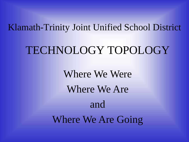#### Klamath-Trinity Joint Unified School District

## TECHNOLOGY TOPOLOGY

Where We Were Where We Are and Where We Are Going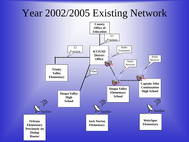### Year 2002/2005 Existing Network

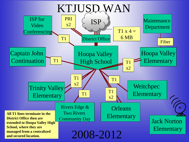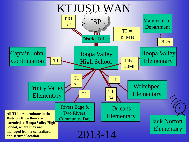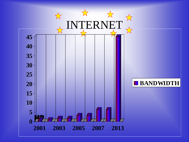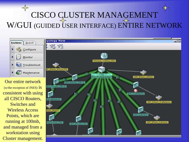## CISCO CLUSTER MANAGEMENT W/GUI (GUIDED USER INTERFACE) ENTIRE NETWORK

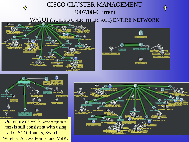#### CISCO CLUSTER MANAGEMENT 2007/08-Current

#### W/GUI (GUIDED USER INTERFACE) ENTIRE NETWORK







Our entire network (w/the exception of JNES) is still consistent with using all CISCO Routers, Switches, Wireless Access Points, and VoIP..

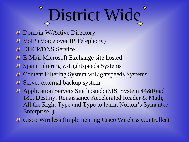## District Wide

- $\Box$  Domain W/Active Directory
- $\downarrow$  VoIP (Voice over IP Telephony)
- **EXECUTE DHCP/DNS Service**
- E-Mail Microsoft Exchange site hosted
- $\Box$  Spam Filtering w/Lightspeeds Systems
- ↓ Content Filtering System w/Lightspeeds Systems
- $\overline{\phantom{a} \bullet}$  Server external backup system
- ↓ Application Servers Site hosted: (SIS, System 44&Read 180, Destiny, Renaissance Accelerated Reader & Math, All the Right Type and Type to learn, Norton's Symantec Enterprise, )
- Cisco Wireless (Implementing Cisco Wireless Controller)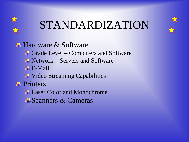

## STANDARDIZATION



 $\triangle$  Hardware & Software Grade Level – Computers and Software  $\overline{\text{N}}$  Network – Servers and Software  $\overline{+}$  **E-Mail** ↓ Video Streaming Capabilities **Printers** Laser Color and Monochrome Scanners & Cameras